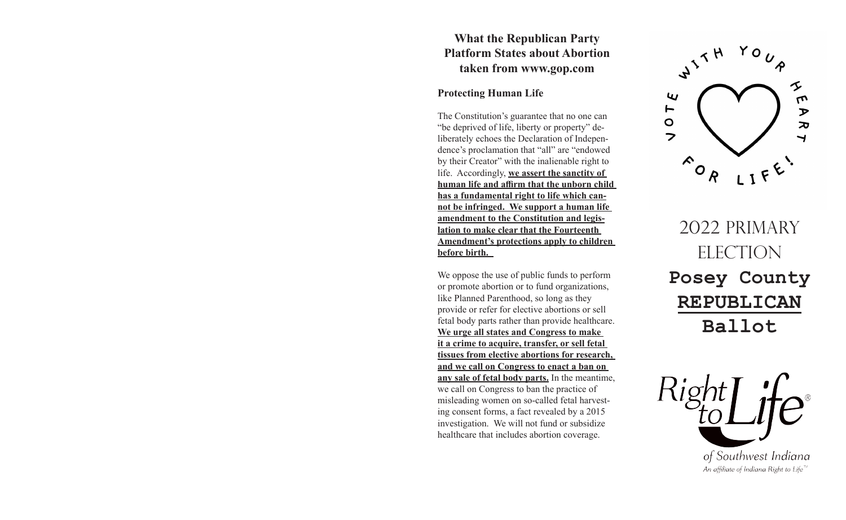## **What the Republican Party Platform States about Abortion taken from www.gop.com**

## **Protecting Human Life**

The Constitution's guarantee that no one can "be deprived of life, liberty or property" deliberately echoes the Declaration of Independence's proclamation that "all" are "endowed by their Creator" with the inalienable right to life. Accordingly, **we assert the sanctity of human life and affirm that the unborn child has a fundamental right to life which cannot be infringed. We support a human life amendment to the Constitution and legislation to make clear that the Fourteenth Amendment's protections apply to children before birth.** 

We oppose the use of public funds to perform or promote abortion or to fund organizations, like Planned Parenthood, so long as they provide or refer for elective abortions or sell fetal body parts rather than provide healthcare. **We urge all states and Congress to make it a crime to acquire, transfer, or sell fetal tissues from elective abortions for research, and we call on Congress to enact a ban on any sale of fetal body parts.** In the meantime, we call on Congress to ban the practice of misleading women on so-called fetal harvesting consent forms, a fact revealed by a 2015 investigation. We will not fund or subsidize healthcare that includes abortion coverage.



2022 PRIMARY ELECTION **Posey County REPUBLICAN Ballot**